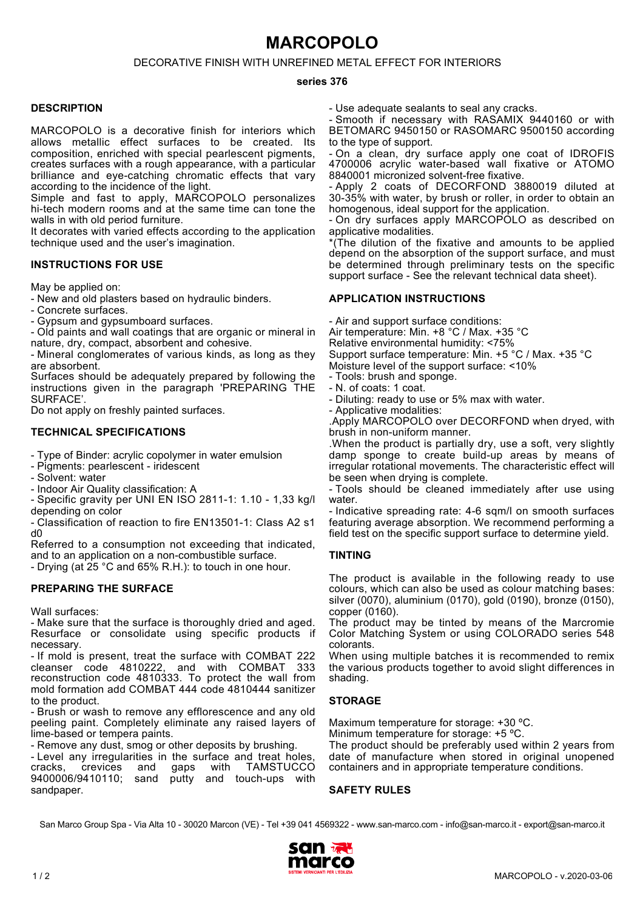# **MARCOPOLO**

# DECORATIVE FINISH WITH UNREFINED METAL EFFECT FOR INTERIORS

#### **series 376**

### **DESCRIPTION**

MARCOPOLO is a decorative finish for interiors which allows metallic effect surfaces to be created. Its composition, enriched with special pearlescent pigments, creates surfaces with a rough appearance, with a particular brilliance and eye-catching chromatic effects that vary according to the incidence of the light.

Simple and fast to apply, MARCOPOLO personalizes hi-tech modern rooms and at the same time can tone the walls in with old period furniture.

It decorates with varied effects according to the application technique used and the user's imagination.

## **INSTRUCTIONS FOR USE**

May be applied on:

- New and old plasters based on hydraulic binders.

- Concrete surfaces.

- Gypsum and gypsumboard surfaces.

- Old paints and wall coatings that are organic or mineral in nature, dry, compact, absorbent and cohesive.

- Mineral conglomerates of various kinds, as long as they are absorbent.

Surfaces should be adequately prepared by following the instructions given in the paragraph 'PREPARING THE SURFACE'.

Do not apply on freshly painted surfaces.

# **TECHNICAL SPECIFICATIONS**

- Type of Binder: acrylic copolymer in water emulsion

- Pigments: pearlescent iridescent
- Solvent: water

- Indoor Air Quality classification: A

- Specific gravity per UNI EN ISO 2811-1: 1.10 - 1,33 kg/l depending on color

- Classification of reaction to fire EN13501-1: Class A2 s1 d0

Referred to a consumption not exceeding that indicated, and to an application on a non-combustible surface.

- Drying (at 25 °C and 65% R.H.): to touch in one hour.

# **PREPARING THE SURFACE**

Wall surfaces:

- Make sure that the surface is thoroughly dried and aged. Resurface or consolidate using specific products if necessary.

- If mold is present, treat the surface with COMBAT 222 cleanser code 4810222, and with COMBAT 333 reconstruction code 4810333. To protect the wall from mold formation add COMBAT 444 code 4810444 sanitizer to the product.

- Brush or wash to remove any efflorescence and any old peeling paint. Completely eliminate any raised layers of lime-based or tempera paints.

- Remove any dust, smog or other deposits by brushing.

- Level any irregularities in the surface and treat holes,<br>cracks. crevices and gaps with TAMSTUCCO cracks, crevices and gaps with TAMSTUCCO sand putty and touch-ups with sandpaper.

- Use adequate sealants to seal any cracks.

- Smooth if necessary with RASAMIX 9440160 or with BETOMARC 9450150 or RASOMARC 9500150 according to the type of support.

- On a clean, dry surface apply one coat of IDROFIS 4700006 acrylic water-based wall fixative or ATOMO 8840001 micronized solvent-free fixative.

- Apply 2 coats of DECORFOND 3880019 diluted at 30-35% with water, by brush or roller, in order to obtain an homogenous, ideal support for the application.

- On dry surfaces apply MARCOPOLO as described on applicative modalities.

\*(The dilution of the fixative and amounts to be applied depend on the absorption of the support surface, and must be determined through preliminary tests on the specific support surface - See the relevant technical data sheet).

## **APPLICATION INSTRUCTIONS**

- Air and support surface conditions: Air temperature: Min. +8 °C / Max. +35 °C Relative environmental humidity: <75%

Support surface temperature: Min. +5 °C / Max. +35 °C

Moisture level of the support surface: <10%

- Tools: brush and sponge.
- N. of coats: 1 coat.
- Diluting: ready to use or 5% max with water.
- Applicative modalities:

.Apply MARCOPOLO over DECORFOND when dryed, with brush in non-uniform manner.

.When the product is partially dry, use a soft, very slightly damp sponge to create build-up areas by means of irregular rotational movements. The characteristic effect will be seen when drying is complete.

- Tools should be cleaned immediately after use using water.

- Indicative spreading rate: 4-6 sqm/l on smooth surfaces featuring average absorption. We recommend performing a field test on the specific support surface to determine yield.

# **TINTING**

The product is available in the following ready to use colours, which can also be used as colour matching bases: silver (0070), aluminium (0170), gold (0190), bronze (0150), copper (0160).

The product may be tinted by means of the Marcromie Color Matching System or using COLORADO series 548 colorants.

When using multiple batches it is recommended to remix the various products together to avoid slight differences in shading.

# **STORAGE**

Maximum temperature for storage: +30 ºC.

Minimum temperature for storage: +5 ºC.

The product should be preferably used within 2 years from date of manufacture when stored in original unopened containers and in appropriate temperature conditions.

### **SAFETY RULES**

San Marco Group Spa - Via Alta 10 - 30020 Marcon (VE) - Tel +39 041 4569322 - www.san-marco.com - info@san-marco.it - export@san-marco.it

![](_page_0_Picture_60.jpeg)